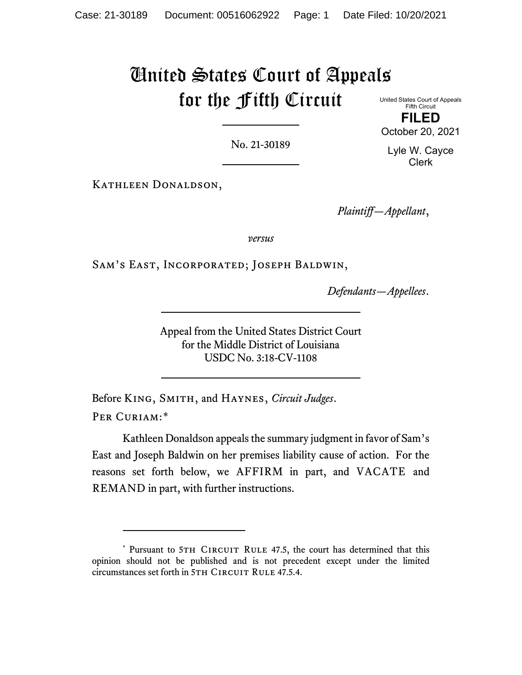# United States Court of Appeals for the Fifth Circuit

United States Court of Appeals Fifth Circuit **FILED**

October 20, 2021

No. 21-30189

Lyle W. Cayce Clerk

Kathleen Donaldson,

*Plaintiff—Appellant*,

*versus*

Sam's East, Incorporated; Joseph Baldwin,

*Defendants—Appellees*.

Appeal from the United States District Court for the Middle District of Louisiana USDC No. 3:18-CV-1108

Before King, Smith, and Haynes, *Circuit Judges*. PER CURIAM:[\\*](#page-0-0)

Kathleen Donaldson appeals the summary judgment in favor of Sam's East and Joseph Baldwin on her premises liability cause of action. For the reasons set forth below, we AFFIRM in part, and VACATE and REMAND in part, with further instructions.

<span id="page-0-0"></span><sup>\*</sup> Pursuant to 5TH CIRCUIT RULE 47.5, the court has determined that this opinion should not be published and is not precedent except under the limited circumstances set forth in 5TH CIRCUIT RULE 47.5.4.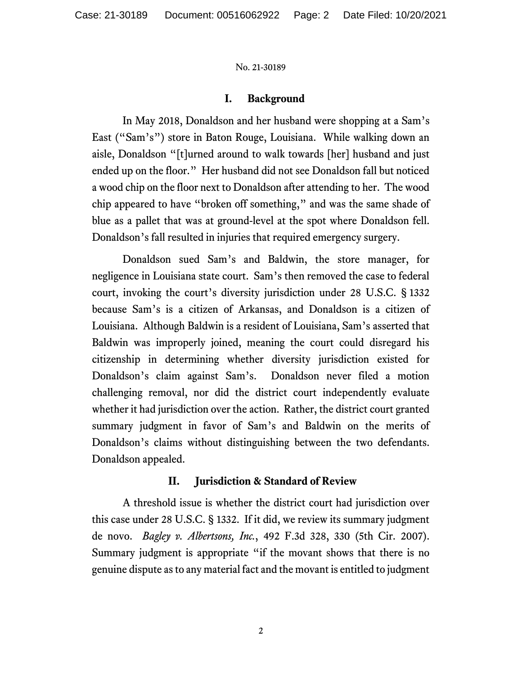# **I. Background**

In May 2018, Donaldson and her husband were shopping at a Sam's East ("Sam's") store in Baton Rouge, Louisiana. While walking down an aisle, Donaldson "[t]urned around to walk towards [her] husband and just ended up on the floor." Her husband did not see Donaldson fall but noticed a wood chip on the floor next to Donaldson after attending to her. The wood chip appeared to have "broken off something," and was the same shade of blue as a pallet that was at ground-level at the spot where Donaldson fell. Donaldson's fall resulted in injuries that required emergency surgery.

Donaldson sued Sam's and Baldwin, the store manager, for negligence in Louisiana state court. Sam's then removed the case to federal court, invoking the court's diversity jurisdiction under 28 U.S.C. § 1332 because Sam's is a citizen of Arkansas, and Donaldson is a citizen of Louisiana. Although Baldwin is a resident of Louisiana, Sam's asserted that Baldwin was improperly joined, meaning the court could disregard his citizenship in determining whether diversity jurisdiction existed for Donaldson's claim against Sam's. Donaldson never filed a motion challenging removal, nor did the district court independently evaluate whether it had jurisdiction over the action. Rather, the district court granted summary judgment in favor of Sam's and Baldwin on the merits of Donaldson's claims without distinguishing between the two defendants. Donaldson appealed.

# **II. Jurisdiction & Standard of Review**

A threshold issue is whether the district court had jurisdiction over this case under 28 U.S.C. § 1332. If it did, we review its summary judgment de novo. *Bagley v. Albertsons, Inc.*, 492 F.3d 328, 330 (5th Cir. 2007). Summary judgment is appropriate "if the movant shows that there is no genuine dispute as to any material fact and the movant is entitled to judgment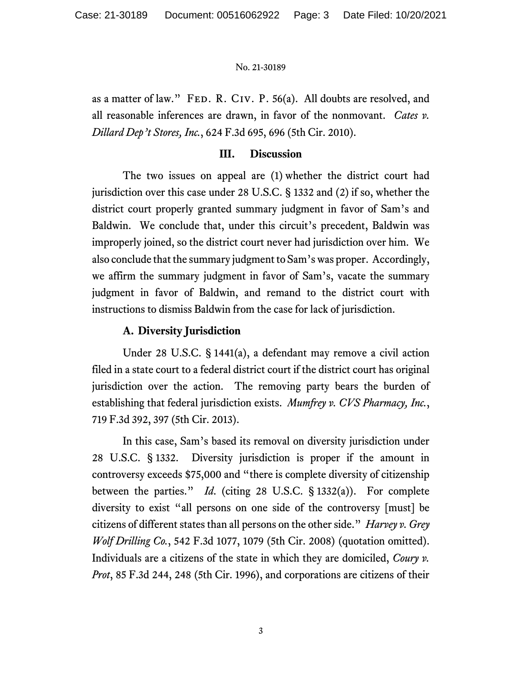as a matter of law." FED. R. CIV. P. 56(a). All doubts are resolved, and all reasonable inferences are drawn, in favor of the nonmovant. *Cates v. Dillard Dep't Stores, Inc.*, 624 F.3d 695, 696 (5th Cir. 2010).

# **III. Discussion**

The two issues on appeal are (1) whether the district court had jurisdiction over this case under 28 U.S.C. § 1332 and (2) if so, whether the district court properly granted summary judgment in favor of Sam's and Baldwin. We conclude that, under this circuit's precedent, Baldwin was improperly joined, so the district court never had jurisdiction over him. We also conclude that the summary judgment to Sam's was proper. Accordingly, we affirm the summary judgment in favor of Sam's, vacate the summary judgment in favor of Baldwin, and remand to the district court with instructions to dismiss Baldwin from the case for lack of jurisdiction.

# **A. Diversity Jurisdiction**

Under 28 U.S.C. § 1441(a), a defendant may remove a civil action filed in a state court to a federal district court if the district court has original jurisdiction over the action. The removing party bears the burden of establishing that federal jurisdiction exists. *Mumfrey v. CVS Pharmacy, Inc.*, 719 F.3d 392, 397 (5th Cir. 2013).

In this case, Sam's based its removal on diversity jurisdiction under 28 U.S.C. § 1332. Diversity jurisdiction is proper if the amount in controversy exceeds \$75,000 and "there is complete diversity of citizenship between the parties." *Id*. (citing 28 U.S.C. § 1332(a)). For complete diversity to exist "all persons on one side of the controversy [must] be citizens of different states than all persons on the other side." *Harvey v. Grey Wolf Drilling Co.*, 542 F.3d 1077, 1079 (5th Cir. 2008) (quotation omitted). Individuals are a citizens of the state in which they are domiciled, *Coury v. Prot*, 85 F.3d 244, 248 (5th Cir. 1996), and corporations are citizens of their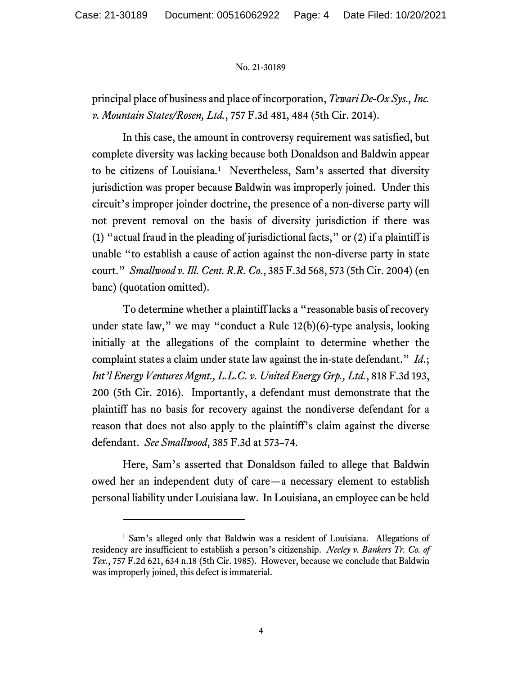principal place of business and place of incorporation, *Tewari De-Ox Sys., Inc. v. Mountain States/Rosen, Ltd.*, 757 F.3d 481, 484 (5th Cir. 2014).

In this case, the amount in controversy requirement was satisfied, but complete diversity was lacking because both Donaldson and Baldwin appear to be citizens of Louisiana. [1](#page-3-0) Nevertheless, Sam's asserted that diversity jurisdiction was proper because Baldwin was improperly joined. Under this circuit's improper joinder doctrine, the presence of a non-diverse party will not prevent removal on the basis of diversity jurisdiction if there was (1) "actual fraud in the pleading of jurisdictional facts," or (2) if a plaintiff is unable "to establish a cause of action against the non-diverse party in state court." *Smallwood v. Ill. Cent. R.R. Co.*, 385 F.3d 568, 573 (5th Cir. 2004) (en banc) (quotation omitted).

To determine whether a plaintiff lacks a "reasonable basis of recovery under state law," we may "conduct a Rule 12(b)(6)-type analysis, looking initially at the allegations of the complaint to determine whether the complaint states a claim under state law against the in-state defendant." *Id*.; *Int'l Energy Ventures Mgmt., L.L.C. v. United Energy Grp., Ltd.*, 818 F.3d 193, 200 (5th Cir. 2016). Importantly, a defendant must demonstrate that the plaintiff has no basis for recovery against the nondiverse defendant for a reason that does not also apply to the plaintiff's claim against the diverse defendant. *See Smallwood*, 385 F.3d at 573–74.

Here, Sam's asserted that Donaldson failed to allege that Baldwin owed her an independent duty of care—a necessary element to establish personal liability under Louisiana law. In Louisiana, an employee can be held

<span id="page-3-0"></span><sup>&</sup>lt;sup>1</sup> Sam's alleged only that Baldwin was a resident of Louisiana. Allegations of residency are insufficient to establish a person's citizenship. *Neeley v. Bankers Tr. Co. of Tex.*, 757 F.2d 621, 634 n.18 (5th Cir. 1985). However, because we conclude that Baldwin was improperly joined, this defect is immaterial.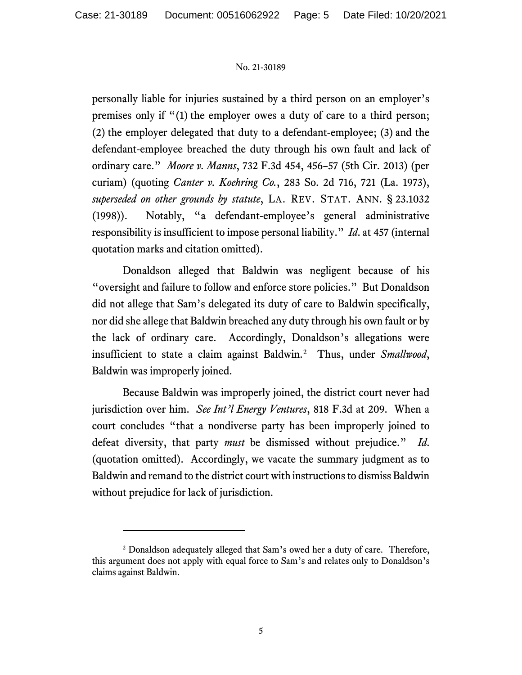personally liable for injuries sustained by a third person on an employer's premises only if "(1) the employer owes a duty of care to a third person; (2) the employer delegated that duty to a defendant-employee; (3) and the defendant-employee breached the duty through his own fault and lack of ordinary care." *Moore v. Manns*, 732 F.3d 454, 456–57 (5th Cir. 2013) (per curiam) (quoting *Canter v. Koehring Co.*, 283 So. 2d 716, 721 (La. 1973), *superseded on other grounds by statute*, LA. REV. STAT. ANN. § 23.1032 (1998)). Notably, "a defendant-employee's general administrative responsibility is insufficient to impose personal liability." *Id*. at 457 (internal quotation marks and citation omitted).

Donaldson alleged that Baldwin was negligent because of his "oversight and failure to follow and enforce store policies." But Donaldson did not allege that Sam's delegated its duty of care to Baldwin specifically, nor did she allege that Baldwin breached any duty through his own fault or by the lack of ordinary care. Accordingly, Donaldson's allegations were insufficient to state a claim against Baldwin. [2](#page-4-0) Thus, under *Smallwood*, Baldwin was improperly joined.

Because Baldwin was improperly joined, the district court never had jurisdiction over him. *See Int'l Energy Ventures*, 818 F.3d at 209. When a court concludes "that a nondiverse party has been improperly joined to defeat diversity, that party *must* be dismissed without prejudice." *Id*. (quotation omitted). Accordingly, we vacate the summary judgment as to Baldwin and remand to the district court with instructions to dismiss Baldwin without prejudice for lack of jurisdiction.

<span id="page-4-0"></span><sup>2</sup> Donaldson adequately alleged that Sam's owed her a duty of care. Therefore, this argument does not apply with equal force to Sam's and relates only to Donaldson's claims against Baldwin.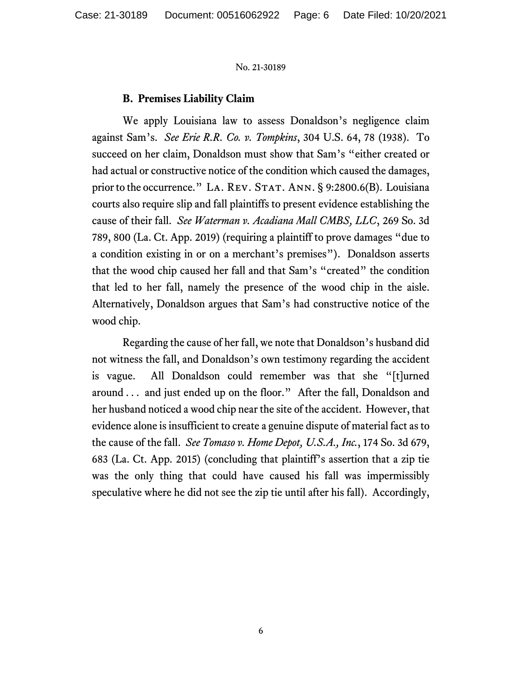# **B. Premises Liability Claim**

We apply Louisiana law to assess Donaldson's negligence claim against Sam's. *See Erie R.R. Co. v. Tompkins*, 304 U.S. 64, 78 (1938). To succeed on her claim, Donaldson must show that Sam's "either created or had actual or constructive notice of the condition which caused the damages, prior to the occurrence." LA. REV. STAT. ANN. § 9:2800.6(B). Louisiana courts also require slip and fall plaintiffs to present evidence establishing the cause of their fall. *See Waterman v. Acadiana Mall CMBS, LLC*, 269 So. 3d 789, 800 (La. Ct. App. 2019) (requiring a plaintiff to prove damages "due to a condition existing in or on a merchant's premises"). Donaldson asserts that the wood chip caused her fall and that Sam's "created" the condition that led to her fall, namely the presence of the wood chip in the aisle. Alternatively, Donaldson argues that Sam's had constructive notice of the wood chip.

Regarding the cause of her fall, we note that Donaldson's husband did not witness the fall, and Donaldson's own testimony regarding the accident is vague. All Donaldson could remember was that she "[t]urned around . . . and just ended up on the floor." After the fall, Donaldson and her husband noticed a wood chip near the site of the accident. However, that evidence alone is insufficient to create a genuine dispute of material fact as to the cause of the fall. *See Tomaso v. Home Depot, U.S.A., Inc.*, 174 So. 3d 679, 683 (La. Ct. App. 2015) (concluding that plaintiff's assertion that a zip tie was the only thing that could have caused his fall was impermissibly speculative where he did not see the zip tie until after his fall). Accordingly,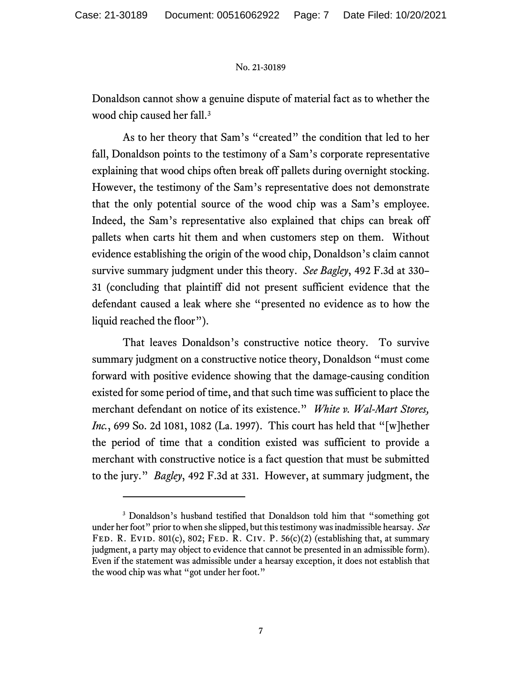Donaldson cannot show a genuine dispute of material fact as to whether the wood chip caused her fall. [3](#page-6-0)

As to her theory that Sam's "created" the condition that led to her fall, Donaldson points to the testimony of a Sam's corporate representative explaining that wood chips often break off pallets during overnight stocking. However, the testimony of the Sam's representative does not demonstrate that the only potential source of the wood chip was a Sam's employee. Indeed, the Sam's representative also explained that chips can break off pallets when carts hit them and when customers step on them. Without evidence establishing the origin of the wood chip, Donaldson's claim cannot survive summary judgment under this theory. *See Bagley*, 492 F.3d at 330– 31 (concluding that plaintiff did not present sufficient evidence that the defendant caused a leak where she "presented no evidence as to how the liquid reached the floor").

That leaves Donaldson's constructive notice theory. To survive summary judgment on a constructive notice theory, Donaldson "must come forward with positive evidence showing that the damage-causing condition existed for some period of time, and that such time was sufficient to place the merchant defendant on notice of its existence." *White v. Wal-Mart Stores, Inc.*, 699 So. 2d 1081, 1082 (La. 1997). This court has held that "[w]hether the period of time that a condition existed was sufficient to provide a merchant with constructive notice is a fact question that must be submitted to the jury." *Bagley*, 492 F.3d at 331. However, at summary judgment, the

<span id="page-6-0"></span><sup>&</sup>lt;sup>3</sup> Donaldson's husband testified that Donaldson told him that "something got under her foot" prior to when she slipped, but this testimony was inadmissible hearsay. *See*  FED. R. EVID. 801(c), 802; FED. R. CIV. P.  $56(c)(2)$  (establishing that, at summary judgment, a party may object to evidence that cannot be presented in an admissible form). Even if the statement was admissible under a hearsay exception, it does not establish that the wood chip was what "got under her foot."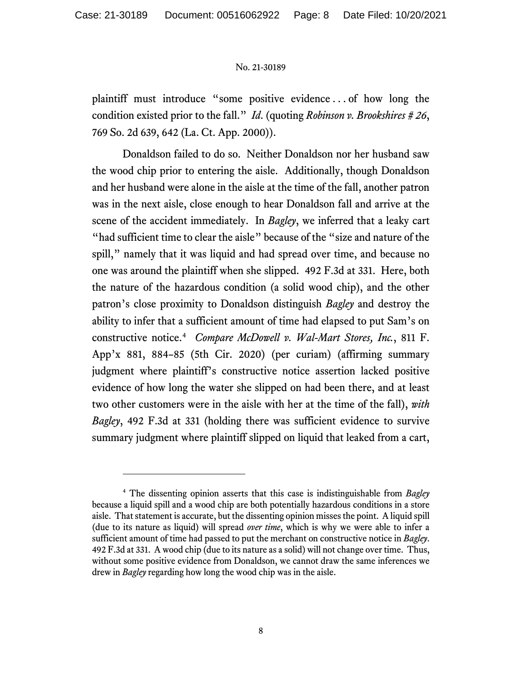plaintiff must introduce "some positive evidence . . . of how long the condition existed prior to the fall." *Id*. (quoting *Robinson v. Brookshires # 26*, 769 So. 2d 639, 642 (La. Ct. App. 2000)).

Donaldson failed to do so. Neither Donaldson nor her husband saw the wood chip prior to entering the aisle. Additionally, though Donaldson and her husband were alone in the aisle at the time of the fall, another patron was in the next aisle, close enough to hear Donaldson fall and arrive at the scene of the accident immediately. In *Bagley*, we inferred that a leaky cart "had sufficient time to clear the aisle" because of the "size and nature of the spill," namely that it was liquid and had spread over time, and because no one was around the plaintiff when she slipped. 492 F.3d at 331. Here, both the nature of the hazardous condition (a solid wood chip), and the other patron's close proximity to Donaldson distinguish *Bagley* and destroy the ability to infer that a sufficient amount of time had elapsed to put Sam's on constructive notice. [4](#page-7-0) *Compare McDowell v. Wal-Mart Stores, Inc.*, 811 F. App'x 881, 884–85 (5th Cir. 2020) (per curiam) (affirming summary judgment where plaintiff's constructive notice assertion lacked positive evidence of how long the water she slipped on had been there, and at least two other customers were in the aisle with her at the time of the fall), *with Bagley*, 492 F.3d at 331 (holding there was sufficient evidence to survive summary judgment where plaintiff slipped on liquid that leaked from a cart,

<span id="page-7-0"></span><sup>4</sup> The dissenting opinion asserts that this case is indistinguishable from *Bagley* because a liquid spill and a wood chip are both potentially hazardous conditions in a store aisle. That statement is accurate, but the dissenting opinion misses the point. A liquid spill (due to its nature as liquid) will spread *over time*, which is why we were able to infer a sufficient amount of time had passed to put the merchant on constructive notice in *Bagley*. 492 F.3d at 331. A wood chip (due to its nature as a solid) will not change over time. Thus, without some positive evidence from Donaldson, we cannot draw the same inferences we drew in *Bagley* regarding how long the wood chip was in the aisle.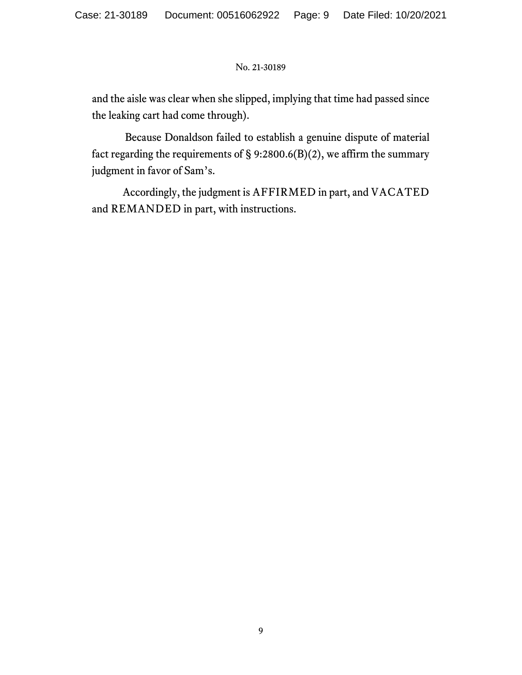and the aisle was clear when she slipped, implying that time had passed since the leaking cart had come through).

Because Donaldson failed to establish a genuine dispute of material fact regarding the requirements of  $\S$  9:2800.6(B)(2), we affirm the summary judgment in favor of Sam's.

Accordingly, the judgment is AFFIRMED in part, and VACATED and REMANDED in part, with instructions.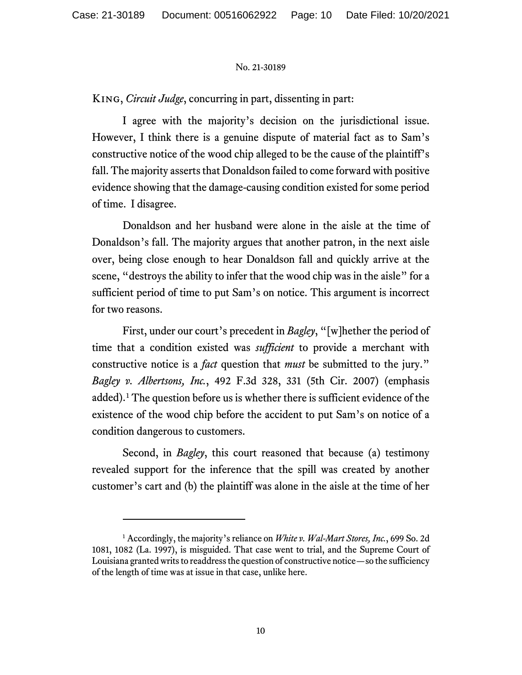King, *Circuit Judge*, concurring in part, dissenting in part:

I agree with the majority's decision on the jurisdictional issue. However, I think there is a genuine dispute of material fact as to Sam's constructive notice of the wood chip alleged to be the cause of the plaintiff's fall. The majority asserts that Donaldson failed to come forward with positive evidence showing that the damage-causing condition existed for some period of time. I disagree.

Donaldson and her husband were alone in the aisle at the time of Donaldson's fall. The majority argues that another patron, in the next aisle over, being close enough to hear Donaldson fall and quickly arrive at the scene, "destroys the ability to infer that the wood chip was in the aisle" for a sufficient period of time to put Sam's on notice. This argument is incorrect for two reasons.

First, under our court's precedent in *Bagley*, "[w]hether the period of time that a condition existed was *sufficient* to provide a merchant with constructive notice is a *fact* question that *must* be submitted to the jury." *Bagley v. Albertsons, Inc.*, 492 F.3d 328, 331 (5th Cir. 2007) (emphasis added).[1](#page-9-0) The question before us is whether there is sufficient evidence of the existence of the wood chip before the accident to put Sam's on notice of a condition dangerous to customers.

Second, in *Bagley*, this court reasoned that because (a) testimony revealed support for the inference that the spill was created by another customer's cart and (b) the plaintiff was alone in the aisle at the time of her

<span id="page-9-0"></span><sup>1</sup> Accordingly, the majority's reliance on *White v. Wal-Mart Stores, Inc.*, 699 So. 2d 1081, 1082 (La. 1997), is misguided. That case went to trial, and the Supreme Court of Louisiana granted writs to readdress the question of constructive notice—so the sufficiency of the length of time was at issue in that case, unlike here.